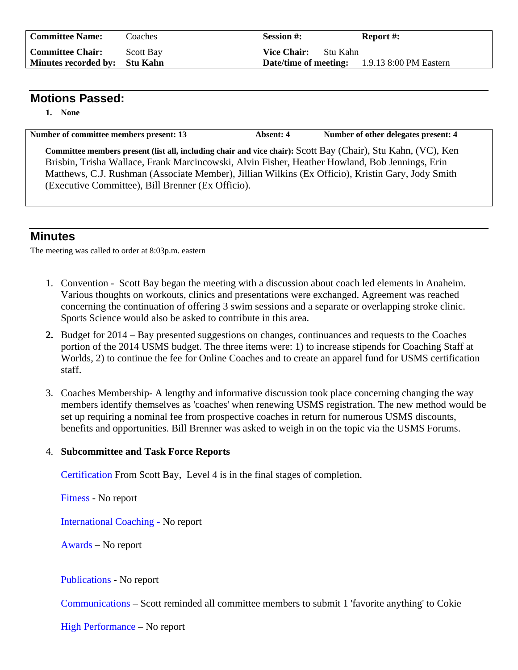| <b>Committee Name:</b>        | Coaches          | <b>Session #:</b>                                   | <b>Report #:</b> |
|-------------------------------|------------------|-----------------------------------------------------|------------------|
| <b>Committee Chair:</b>       | <b>Scott Bay</b> | <b>Vice Chair:</b><br>- Stu Kahn                    |                  |
| Minutes recorded by: Stu Kahn |                  | <b>Date/time of meeting:</b> 1.9.13 8:00 PM Eastern |                  |

## **Motions Passed:**

**1. None** 

Number of committee members present: 13 Absent: 4 Number of other delegates present: 4 **Committee members present (list all, including chair and vice chair):** Scott Bay (Chair), Stu Kahn, (VC), Ken Brisbin, Trisha Wallace, Frank Marcincowski, Alvin Fisher, Heather Howland, Bob Jennings, Erin Matthews, C.J. Rushman (Associate Member), Jillian Wilkins (Ex Officio), Kristin Gary, Jody Smith (Executive Committee), Bill Brenner (Ex Officio).

## **Minutes**

The meeting was called to order at 8:03p.m. eastern

- 1. Convention Scott Bay began the meeting with a discussion about coach led elements in Anaheim. Various thoughts on workouts, clinics and presentations were exchanged. Agreement was reached concerning the continuation of offering 3 swim sessions and a separate or overlapping stroke clinic. Sports Science would also be asked to contribute in this area.
- **2.** Budget for 2014 Bay presented suggestions on changes, continuances and requests to the Coaches portion of the 2014 USMS budget. The three items were: 1) to increase stipends for Coaching Staff at Worlds, 2) to continue the fee for Online Coaches and to create an apparel fund for USMS certification staff.
- 3. Coaches Membership- A lengthy and informative discussion took place concerning changing the way members identify themselves as 'coaches' when renewing USMS registration. The new method would be set up requiring a nominal fee from prospective coaches in return for numerous USMS discounts, benefits and opportunities. Bill Brenner was asked to weigh in on the topic via the USMS Forums.

## 4. **Subcommittee and Task Force Reports**

Certification From Scott Bay, Level 4 is in the final stages of completion.

Fitness - No report

International Coaching - No report

Awards – No report

Publications - No report

Communications – Scott reminded all committee members to submit 1 'favorite anything' to Cokie

High Performance – No report